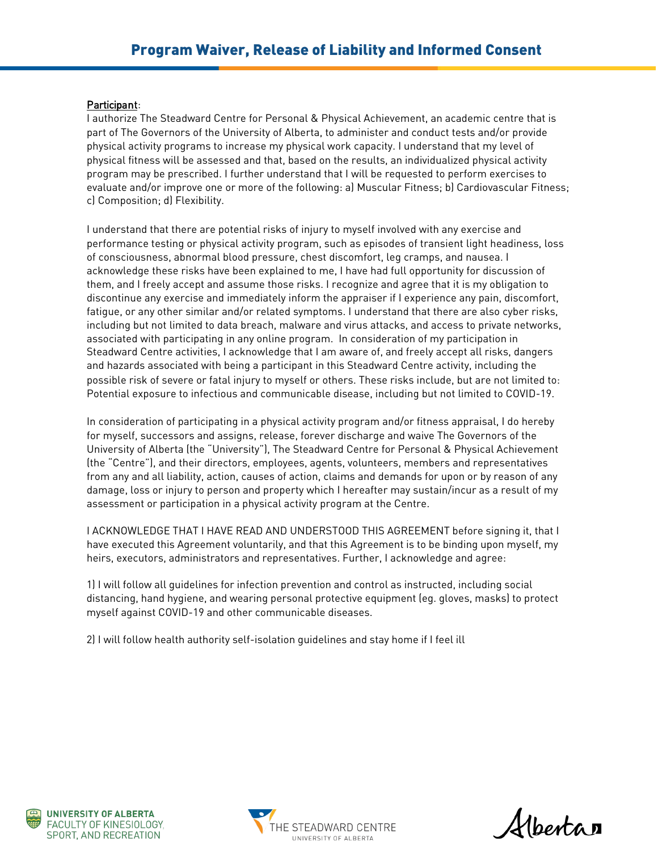## Participant:

I authorize The Steadward Centre for Personal & Physical Achievement, an academic centre that is part of The Governors of the University of Alberta, to administer and conduct tests and/or provide physical activity programs to increase my physical work capacity. I understand that my level of physical fitness will be assessed and that, based on the results, an individualized physical activity program may be prescribed. I further understand that I will be requested to perform exercises to evaluate and/or improve one or more of the following: a) Muscular Fitness; b) Cardiovascular Fitness; c) Composition; d) Flexibility.

I understand that there are potential risks of injury to myself involved with any exercise and performance testing or physical activity program, such as episodes of transient light headiness, loss of consciousness, abnormal blood pressure, chest discomfort, leg cramps, and nausea. I acknowledge these risks have been explained to me, I have had full opportunity for discussion of them, and I freely accept and assume those risks. I recognize and agree that it is my obligation to discontinue any exercise and immediately inform the appraiser if I experience any pain, discomfort, fatigue, or any other similar and/or related symptoms. I understand that there are also cyber risks, including but not limited to data breach, malware and virus attacks, and access to private networks, associated with participating in any online program. In consideration of my participation in Steadward Centre activities, I acknowledge that I am aware of, and freely accept all risks, dangers and hazards associated with being a participant in this Steadward Centre activity, including the possible risk of severe or fatal injury to myself or others. These risks include, but are not limited to: Potential exposure to infectious and communicable disease, including but not limited to COVID-19.

In consideration of participating in a physical activity program and/or fitness appraisal, I do hereby for myself, successors and assigns, release, forever discharge and waive The Governors of the University of Alberta (the "University"), The Steadward Centre for Personal & Physical Achievement (the "Centre"), and their directors, employees, agents, volunteers, members and representatives from any and all liability, action, causes of action, claims and demands for upon or by reason of any damage, loss or injury to person and property which I hereafter may sustain/incur as a result of my assessment or participation in a physical activity program at the Centre.

I ACKNOWLEDGE THAT I HAVE READ AND UNDERSTOOD THIS AGREEMENT before signing it, that I have executed this Agreement voluntarily, and that this Agreement is to be binding upon myself, my heirs, executors, administrators and representatives. Further, I acknowledge and agree:

1) I will follow all guidelines for infection prevention and control as instructed, including social distancing, hand hygiene, and wearing personal protective equipment (eg. gloves, masks) to protect myself against COVID-19 and other communicable diseases.

2) I will follow health authority self-isolation guidelines and stay home if I feel ill





Albertan